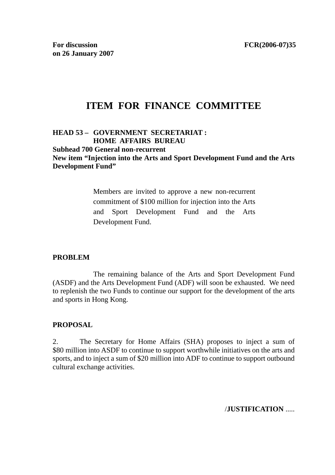# **ITEM FOR FINANCE COMMITTEE**

## **HEAD 53 – GOVERNMENT SECRETARIAT : HOME AFFAIRS BUREAU**

**Subhead 700 General non-recurrent** 

**New item "Injection into the Arts and Sport Development Fund and the Arts Development Fund"** 

> Members are invited to approve a new non-recurrent commitment of \$100 million for injection into the Arts and Sport Development Fund and the Arts Development Fund.

#### **PROBLEM**

 The remaining balance of the Arts and Sport Development Fund (ASDF) and the Arts Development Fund (ADF) will soon be exhausted. We need to replenish the two Funds to continue our support for the development of the arts and sports in Hong Kong.

#### **PROPOSAL**

2. The Secretary for Home Affairs (SHA) proposes to inject a sum of \$80 million into ASDF to continue to support worthwhile initiatives on the arts and sports, and to inject a sum of \$20 million into ADF to continue to support outbound cultural exchange activities.

/**JUSTIFICATION** .....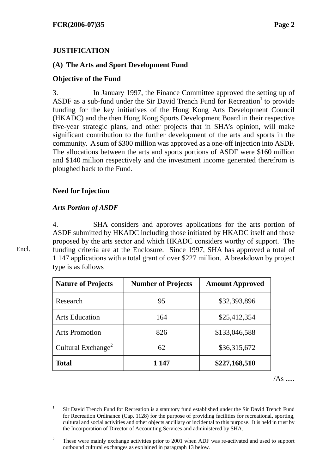## **JUSTIFICATION**

## **(A) The Arts and Sport Development Fund**

## **Objective of the Fund**

3. In January 1997, the Finance Committee approved the setting up of ASDF as a sub-fund under the Sir David Trench Fund for Recreation<sup>1</sup> to provide funding for the key initiatives of the Hong Kong Arts Development Council (HKADC) and the then Hong Kong Sports Development Board in their respective five-year strategic plans, and other projects that in SHA's opinion, will make significant contribution to the further development of the arts and sports in the community. A sum of \$300 million was approved as a one-off injection into ASDF. The allocations between the arts and sports portions of ASDF were \$160 million and \$140 million respectively and the investment income generated therefrom is ploughed back to the Fund.

## **Need for Injection**

## *Arts Portion of ASDF*

4. SHA considers and approves applications for the arts portion of ASDF submitted by HKADC including those initiated by HKADC itself and those proposed by the arts sector and which HKADC considers worthy of support. The funding criteria are at the Enclosure. Since 1997, SHA has approved a total of 1 147 applications with a total grant of over \$227 million. A breakdown by project type is as follows–

| <b>Nature of Projects</b>      | <b>Number of Projects</b> | <b>Amount Approved</b> |
|--------------------------------|---------------------------|------------------------|
| Research                       | 95                        | \$32,393,896           |
| <b>Arts Education</b>          | 164                       | \$25,412,354           |
| <b>Arts Promotion</b>          | 826                       | \$133,046,588          |
| Cultural Exchange <sup>2</sup> | 62                        | \$36,315,672           |
| <b>Total</b>                   | 1 147                     | \$227,168,510          |

 $/As$  .....

Encl.

 $\frac{1}{1}$  Sir David Trench Fund for Recreation is a statutory fund established under the Sir David Trench Fund for Recreation Ordinance (Cap. 1128) for the purpose of providing facilities for recreational, sporting, cultural and social activities and other objects ancillary or incidental to this purpose. It is held in trust by the Incorporation of Director of Accounting Services and administered by SHA.

 2 These were mainly exchange activities prior to 2001 when ADF was re-activated and used to support outbound cultural exchanges as explained in paragraph 13 below.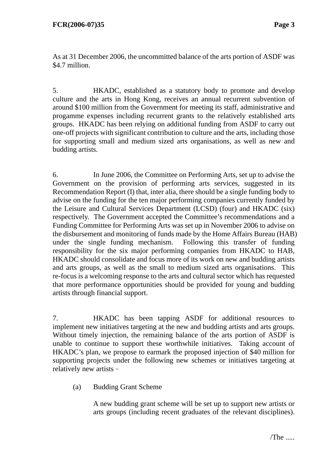As at 31 December 2006, the uncommitted balance of the arts portion of ASDF was \$4.7 million.

5. HKADC, established as a statutory body to promote and develop culture and the arts in Hong Kong, receives an annual recurrent subvention of around \$100 million from the Government for meeting its staff, administrative and progamme expenses including recurrent grants to the relatively established arts groups. HKADC has been relying on additional funding from ASDF to carry out one-off projects with significant contribution to culture and the arts, including those for supporting small and medium sized arts organisations, as well as new and budding artists.

6. In June 2006, the Committee on Performing Arts, set up to advise the Government on the provision of performing arts services, suggested in its Recommendation Report (I) that, inter alia, there should be a single funding body to advise on the funding for the ten major performing companies currently funded by the Leisure and Cultural Services Department (LCSD) (four) and HKADC (six) respectively. The Government accepted the Committee's recommendations and a Funding Committee for Performing Arts was set up in November 2006 to advise on the disbursement and monitoring of funds made by the Home Affairs Bureau (HAB) under the single funding mechanism. Following this transfer of funding responsibility for the six major performing companies from HKADC to HAB, HKADC should consolidate and focus more of its work on new and budding artists and arts groups, as well as the small to medium sized arts organisations. This re-focus is a welcoming response to the arts and cultural sector which has requested that more performance opportunities should be provided for young and budding artists through financial support.

7. HKADC has been tapping ASDF for additional resources to implement new initiatives targeting at the new and budding artists and arts groups. Without timely injection, the remaining balance of the arts portion of ASDF is unable to continue to support these worthwhile initiatives. Taking account of HKADC's plan, we propose to earmark the proposed injection of \$40 million for supporting projects under the following new schemes or initiatives targeting at relatively new artists–

(a) Budding Grant Scheme

A new budding grant scheme will be set up to support new artists or arts groups (including recent graduates of the relevant disciplines).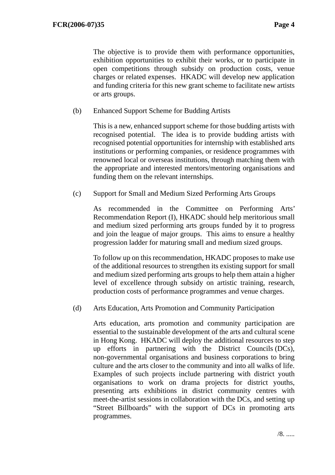The objective is to provide them with performance opportunities, exhibition opportunities to exhibit their works, or to participate in open competitions through subsidy on production costs, venue charges or related expenses. HKADC will develop new application and funding criteria for this new grant scheme to facilitate new artists or arts groups.

(b) Enhanced Support Scheme for Budding Artists

This is a new, enhanced support scheme for those budding artists with recognised potential. The idea is to provide budding artists with recognised potential opportunities for internship with established arts institutions or performing companies, or residence programmes with renowned local or overseas institutions, through matching them with the appropriate and interested mentors/mentoring organisations and funding them on the relevant internships.

(c) Support for Small and Medium Sized Performing Arts Groups

As recommended in the Committee on Performing Arts' Recommendation Report (I), HKADC should help meritorious small and medium sized performing arts groups funded by it to progress and join the league of major groups. This aims to ensure a healthy progression ladder for maturing small and medium sized groups.

To follow up on this recommendation, HKADC proposes to make use of the additional resources to strengthen its existing support for small and medium sized performing arts groups to help them attain a higher level of excellence through subsidy on artistic training, research, production costs of performance programmes and venue charges.

(d) Arts Education, Arts Promotion and Community Participation

Arts education, arts promotion and community participation are essential to the sustainable development of the arts and cultural scene in Hong Kong. HKADC will deploy the additional resources to step up efforts in partnering with the District Councils (DCs), non-governmental organisations and business corporations to bring culture and the arts closer to the community and into all walks of life. Examples of such projects include partnering with district youth organisations to work on drama projects for district youths, presenting arts exhibitions in district community centres with meet-the-artist sessions in collaboration with the DCs, and setting up "Street Billboards" with the support of DCs in promoting arts programmes.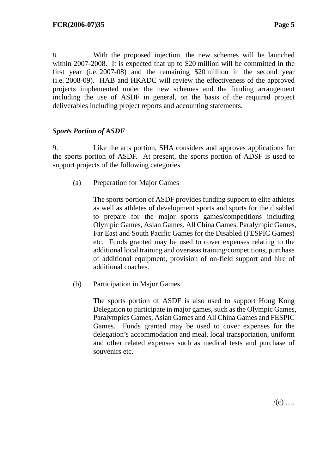8. With the proposed injection, the new schemes will be launched within 2007-2008. It is expected that up to \$20 million will be committed in the first year (i.e. 2007-08) and the remaining \$20 million in the second year (i.e. 2008-09). HAB and HKADC will review the effectiveness of the approved projects implemented under the new schemes and the funding arrangement including the use of ASDF in general, on the basis of the required project deliverables including project reports and accounting statements.

#### *Sports Portion of ASDF*

9. Like the arts portion, SHA considers and approves applications for the sports portion of ASDF. At present, the sports portion of ADSF is used to support projects of the following categories–

(a) Preparation for Major Games

The sports portion of ASDF provides funding support to elite athletes as well as athletes of development sports and sports for the disabled to prepare for the major sports games/competitions including Olympic Games, Asian Games, All China Games, Paralympic Games, Far East and South Pacific Games for the Disabled (FESPIC Games) etc. Funds granted may be used to cover expenses relating to the additional local training and overseas training/competitions, purchase of additional equipment, provision of on-field support and hire of additional coaches.

(b) Participation in Major Games

The sports portion of ASDF is also used to support Hong Kong Delegation to participate in major games, such as the Olympic Games, Paralympics Games, Asian Games and All China Games and FESPIC Games. Funds granted may be used to cover expenses for the delegation's accommodation and meal, local transportation, uniform and other related expenses such as medical tests and purchase of souvenirs etc.

 $/(c)$  .....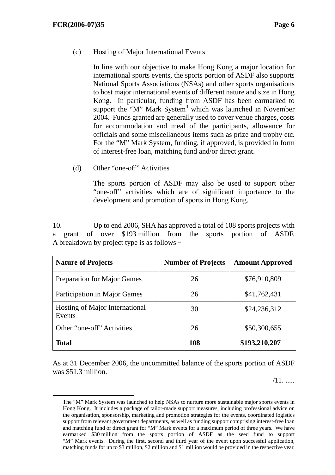#### (c) Hosting of Major International Events

In line with our objective to make Hong Kong a major location for international sports events, the sports portion of ASDF also supports National Sports Associations (NSAs) and other sports organisations to host major international events of different nature and size in Hong Kong. In particular, funding from ASDF has been earmarked to support the "M" Mark System<sup>3</sup> which was launched in November 2004. Funds granted are generally used to cover venue charges, costs for accommodation and meal of the participants, allowance for officials and some miscellaneous items such as prize and trophy etc. For the "M" Mark System, funding, if approved, is provided in form of interest-free loan, matching fund and/or direct grant.

(d) Other "one-off" Activities

The sports portion of ASDF may also be used to support other "one-off" activities which are of significant importance to the development and promotion of sports in Hong Kong.

10. Up to end 2006, SHA has approved a total of 108 sports projects with a grant of over \$193 million from the sports portion of ASDF. A breakdown by project type is as follows–

| <b>Nature of Projects</b>                | <b>Number of Projects</b> | <b>Amount Approved</b> |
|------------------------------------------|---------------------------|------------------------|
| <b>Preparation for Major Games</b>       | 26                        | \$76,910,809           |
| Participation in Major Games             | 26                        | \$41,762,431           |
| Hosting of Major International<br>Events | 30                        | \$24,236,312           |
| Other "one-off" Activities               | 26                        | \$50,300,655           |
| <b>Total</b>                             | 108                       | \$193,210,207          |

As at 31 December 2006, the uncommitted balance of the sports portion of ASDF was \$51.3 million.

/11. .....

<sup>&</sup>lt;sup>2</sup><br>3 The "M" Mark System was launched to help NSAs to nurture more sustainable major sports events in Hong Kong. It includes a package of tailor-made support measures, including professional advice on the organisation, sponsorship, marketing and promotion strategies for the events, coordinated logistics support from relevant government departments, as well as funding support comprising interest-free loan and matching fund or direct grant for "M" Mark events for a maximum period of three years. We have earmarked \$30 million from the sports portion of ASDF as the seed fund to support "M" Mark events. During the first, second and third year of the event upon successful application, matching funds for up to \$3 million, \$2 million and \$1 million would be provided in the respective year.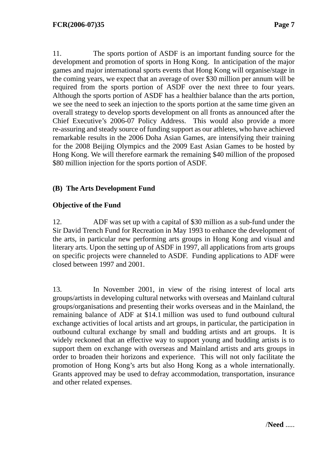11. The sports portion of ASDF is an important funding source for the development and promotion of sports in Hong Kong. In anticipation of the major games and major international sports events that Hong Kong will organise/stage in the coming years, we expect that an average of over \$30 million per annum will be required from the sports portion of ASDF over the next three to four years. Although the sports portion of ASDF has a healthier balance than the arts portion, we see the need to seek an injection to the sports portion at the same time given an overall strategy to develop sports development on all fronts as announced after the Chief Executive's 2006-07 Policy Address. This would also provide a more re-assuring and steady source of funding support as our athletes, who have achieved remarkable results in the 2006 Doha Asian Games, are intensifying their training for the 2008 Beijing Olympics and the 2009 East Asian Games to be hosted by Hong Kong. We will therefore earmark the remaining \$40 million of the proposed \$80 million injection for the sports portion of ASDF.

## **(B) The Arts Development Fund**

## **Objective of the Fund**

12. ADF was set up with a capital of \$30 million as a sub-fund under the Sir David Trench Fund for Recreation in May 1993 to enhance the development of the arts, in particular new performing arts groups in Hong Kong and visual and literary arts. Upon the setting up of ASDF in 1997, all applications from arts groups on specific projects were channeled to ASDF. Funding applications to ADF were closed between 1997 and 2001.

13. In November 2001, in view of the rising interest of local arts groups/artists in developing cultural networks with overseas and Mainland cultural groups/organisations and presenting their works overseas and in the Mainland, the remaining balance of ADF at \$14.1 million was used to fund outbound cultural exchange activities of local artists and art groups, in particular, the participation in outbound cultural exchange by small and budding artists and art groups. It is widely reckoned that an effective way to support young and budding artists is to support them on exchange with overseas and Mainland artists and arts groups in order to broaden their horizons and experience. This will not only facilitate the promotion of Hong Kong's arts but also Hong Kong as a whole internationally. Grants approved may be used to defray accommodation, transportation, insurance and other related expenses.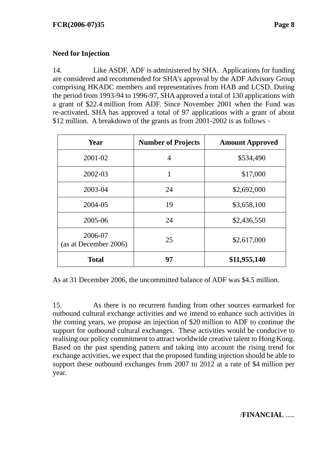## **Need for Injection**

14. Like ASDF, ADF is administered by SHA. Applications for funding are considered and recommended for SHA's approval by the ADF Advisory Group comprising HKADC members and representatives from HAB and LCSD. During the period from 1993-94 to 1996-97, SHA approved a total of 130 applications with a grant of \$22.4 million from ADF. Since November 2001 when the Fund was re-activated, SHA has approved a total of 97 applications with a grant of about \$12 million. A breakdown of the grants as from 2001-2002 is as follows–

| <b>Year</b>                      | <b>Number of Projects</b> | <b>Amount Approved</b> |
|----------------------------------|---------------------------|------------------------|
| 2001-02                          | $\overline{4}$            | \$534,490              |
| 2002-03                          | 1                         | \$17,000               |
| 2003-04                          | 24                        | \$2,692,000            |
| 2004-05                          | 19                        | \$3,658,100            |
| 2005-06                          | 24                        | \$2,436,550            |
| 2006-07<br>(as at December 2006) | 25                        | \$2,617,000            |
| <b>Total</b>                     | 97                        | \$11,955,140           |

As at 31 December 2006, the uncommitted balance of ADF was \$4.5 million.

15. As there is no recurrent funding from other sources earmarked for outbound cultural exchange activities and we intend to enhance such activities in the coming years, we propose an injection of \$20 million to ADF to continue the support for outbound cultural exchanges. These activities would be conducive to realising our policy commitment to attract worldwide creative talent to Hong Kong. Based on the past spending pattern and taking into account the rising trend for exchange activities, we expect that the proposed funding injection should be able to support these outbound exchanges from 2007 to 2012 at a rate of \$4 million per year.

## /**FINANCIAL** .....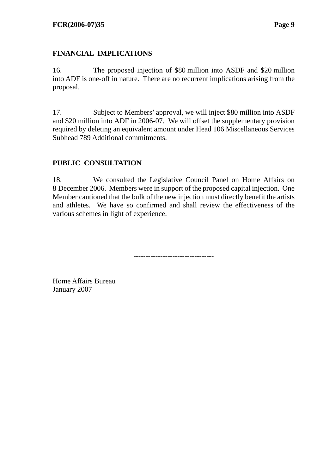## **FINANCIAL IMPLICATIONS**

16. The proposed injection of \$80 million into ASDF and \$20 million into ADF is one-off in nature. There are no recurrent implications arising from the proposal.

17. Subject to Members' approval, we will inject \$80 million into ASDF and \$20 million into ADF in 2006-07. We will offset the supplementary provision required by deleting an equivalent amount under Head 106 Miscellaneous Services Subhead 789 Additional commitments.

## **PUBLIC CONSULTATION**

18. We consulted the Legislative Council Panel on Home Affairs on 8 December 2006. Members were in support of the proposed capital injection. One Member cautioned that the bulk of the new injection must directly benefit the artists and athletes. We have so confirmed and shall review the effectiveness of the various schemes in light of experience.

---------------------------------

Home Affairs Bureau January 2007